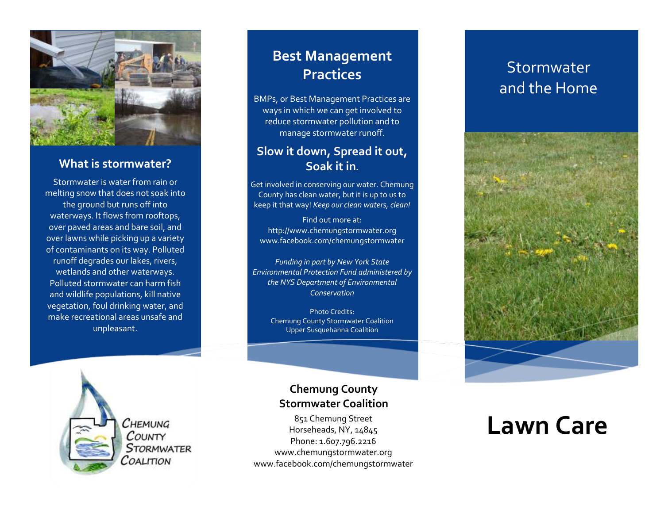

### **What is stormwater?**

Stormwater is water from rain or melting snow that does not soak into the ground but runs off into waterways. It flows from rooftops, over paved areas and bare soil, and over lawns while picking up a variety of contaminants on its way. Polluted runoff degrades our lakes, rivers, wetlands and other waterways. Polluted stormwater can harm fish and wildlife populations, kill native vegetation, foul drinking water, and make recreational areas unsafe and unpleasant.

## **Best Management Practices**

BMPs, or Best Management Practices are ways in which we can get involved to reduce stormwater pollution and to manage stormwater runoff.

### **Slow it down, Spread it out, Soak it in.**

Get involved in conserving our water. Chemung County has clean water, but it is up to us to keep it that way! *Keep our clean waters, clean!*

Find out more at: http://www.chemungstormwater.org www.facebook.com/chemungstormwater

*Funding in part by New York State Environmental Protection Fund administered by the NYS Department of Environmental Conservation*

Photo Credits: Chemung County Stormwater Coalition Upper Susquehanna Coalition



**Chemung County Stormwater Coalition**

851 Chemung Street Horseheads, NY, 14845 Phone: 1.607.796.2216 www.chemungstormwater.org www.facebook.com/chemungstormwater

## **Stormwater** and the Home



# **Lawn Care**